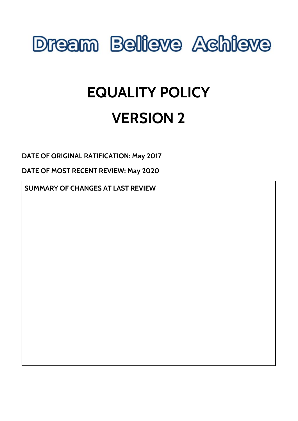

# **EQUALITY POLICY VERSION 2**

**DATE OF ORIGINAL RATIFICATION: May 2017**

**DATE OF MOST RECENT REVIEW: May 2020**

**SUMMARY OF CHANGES AT LAST REVIEW**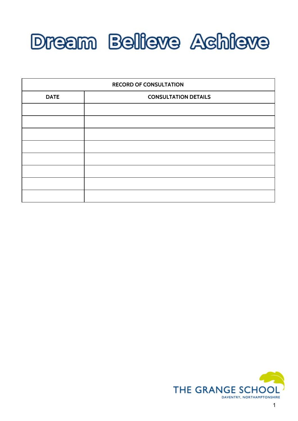

| <b>RECORD OF CONSULTATION</b> |                             |
|-------------------------------|-----------------------------|
| <b>DATE</b>                   | <b>CONSULTATION DETAILS</b> |
|                               |                             |
|                               |                             |
|                               |                             |
|                               |                             |
|                               |                             |
|                               |                             |
|                               |                             |
|                               |                             |

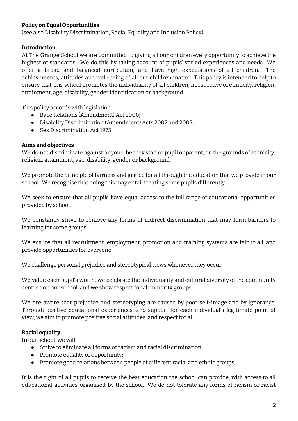## **Policy on Equal Opportunities**

(see also Disability Discrimination, Racial Equality and Inclusion Policy)

#### **Introduction**

At The Grange School we are committed to giving all our children every opportunity to achieve the highest of standards. We do this by taking account of pupils' varied experiences and needs. We offer a broad and balanced curriculum, and have high expectations of all children. The achievements, attitudes and well-being of all our children matter. This policy is intended to help to ensure that this school promotes the individuality of all children, irrespective of ethnicity, religion, attainment, age, disability, gender identification or background.

This policy accords with legislation:

- Race Relations (Amendment) Act 2000;
- Disability Discrimination (Amendment) Acts 2002 and 2005;
- Sex Discrimination Act 1975

#### **Aims and objectives**

We do not discriminate against anyone, be they staff or pupil or parent, on the grounds of ethnicity, religion, attainment, age, disability, gender or background.

We promote the principle of fairness and justice for all through the education that we provide in our school. We recognise that doing this may entail treating some pupils differently.

We seek to ensure that all pupils have equal access to the full range of educational opportunities provided by school.

We constantly strive to remove any forms of indirect discrimination that may form barriers to learning for some groups.

We ensure that all recruitment, employment, promotion and training systems are fair to all, and provide opportunities for everyone.

We challenge personal prejudice and stereotypical views whenever they occur.

We value each pupil's worth, we celebrate the individuality and cultural diversity of the community centred on our school, and we show respect for all minority groups.

We are aware that prejudice and stereotyping are caused by poor self-image and by ignorance. Through positive educational experiences, and support for each individual's legitimate point of view, we aim to promote positive social attitudes, and respect for all.

# **Racial equality**

In our school, we will:

- Strive to eliminate all forms of racism and racial discrimination;
- Promote equality of opportunity;
- Promote good relations between people of different racial and ethnic groups

It is the right of all pupils to receive the best education the school can provide, with access to all educational activities organised by the school. We do not tolerate any forms of racism or racist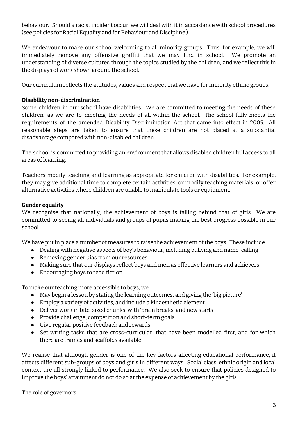behaviour. Should a racist incident occur, we will deal with it in accordance with school procedures (see policies for Racial Equality and for Behaviour and Discipline.)

We endeavour to make our school welcoming to all minority groups. Thus, for example, we will immediately remove any offensive graffiti that we may find in school. We promote an understanding of diverse cultures through the topics studied by the children, and we reflect this in the displays of work shown around the school.

Our curriculum reflects the attitudes, values and respect that we have for minority ethnic groups.

#### **Disability non-discrimination**

Some children in our school have disabilities. We are committed to meeting the needs of these children, as we are to meeting the needs of all within the school. The school fully meets the requirements of the amended Disability Discrimination Act that came into effect in 2005. All reasonable steps are taken to ensure that these children are not placed at a substantial disadvantage compared with non-disabled children.

The school is committed to providing an environment that allows disabled children full access to all areas of learning.

Teachers modify teaching and learning as appropriate for children with disabilities. For example, they may give additional time to complete certain activities, or modify teaching materials, or offer alternative activities where children are unable to manipulate tools or equipment.

#### **Gender equality**

We recognise that nationally, the achievement of boys is falling behind that of girls. We are committed to seeing all individuals and groups of pupils making the best progress possible in our school.

We have put in place a number of measures to raise the achievement of the boys. These include:

- Dealing with negative aspects of boy's behaviour, including bullying and name-calling
- Removing gender bias from our resources
- Making sure that our displays reflect boys and men as effective learners and achievers
- Encouraging boys to read fiction

To make our teaching more accessible to boys, we:

- May begin a lesson by stating the learning outcomes, and giving the 'big picture'
- Employ a variety of activities, and include a kinaesthetic element
- Deliver work in bite-sized chunks, with 'brain breaks' and new starts
- Provide challenge, competition and short-term goals
- Give regular positive feedback and rewards
- Set writing tasks that are cross-curricular, that have been modelled first, and for which there are frames and scaffolds available

We realise that although gender is one of the key factors affecting educational performance, it affects different sub-groups of boys and girls in different ways. Social class, ethnic origin and local context are all strongly linked to performance. We also seek to ensure that policies designed to improve the boys' attainment do not do so at the expense of achievement by the girls.

#### The role of governors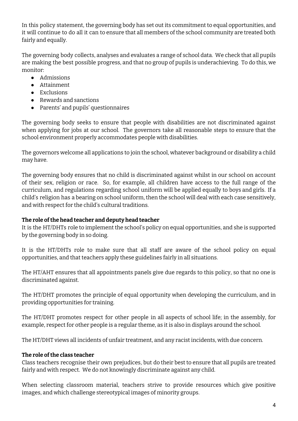In this policy statement, the governing body has set out its commitment to equal opportunities, and it will continue to do all it can to ensure that all members of the school community are treated both fairly and equally.

The governing body collects, analyses and evaluates a range of school data. We check that all pupils are making the best possible progress, and that no group of pupils is underachieving. To do this, we monitor:

- Admissions
- Attainment
- Exclusions
- Rewards and sanctions
- Parents' and pupils' questionnaires

The governing body seeks to ensure that people with disabilities are not discriminated against when applying for jobs at our school. The governors take all reasonable steps to ensure that the school environment properly accommodates people with disabilities.

The governors welcome all applications to join the school, whatever background or disability a child may have.

The governing body ensures that no child is discriminated against whilst in our school on account of their sex, religion or race. So, for example, all children have access to the full range of the curriculum, and regulations regarding school uniform will be applied equally to boys and girls. If a child's religion has a bearing on school uniform, then the school will deal with each case sensitively, and with respect for the child's cultural traditions.

# **The role ofthe head teacher and deputy head teacher**

It is the HT/DHTs role to implement the school's policy on equal opportunities, and she is supported by the governing body in so doing.

It is the HT/DHTs role to make sure that all staff are aware of the school policy on equal opportunities, and that teachers apply these guidelines fairly in all situations.

The HT/AHT ensures that all appointments panels give due regards to this policy, so that no one is discriminated against.

The HT/DHT promotes the principle of equal opportunity when developing the curriculum, and in providing opportunities for training.

The HT/DHT promotes respect for other people in all aspects of school life; in the assembly, for example, respect for other people is a regular theme, as it is also in displays around the school.

The HT/DHT views all incidents of unfair treatment, and any racist incidents, with due concern.

# **The role ofthe class teacher**

Class teachers recognise their own prejudices, but do their best to ensure that all pupils are treated fairly and with respect. We do not knowingly discriminate against any child.

When selecting classroom material, teachers strive to provide resources which give positive images, and which challenge stereotypical images of minority groups.